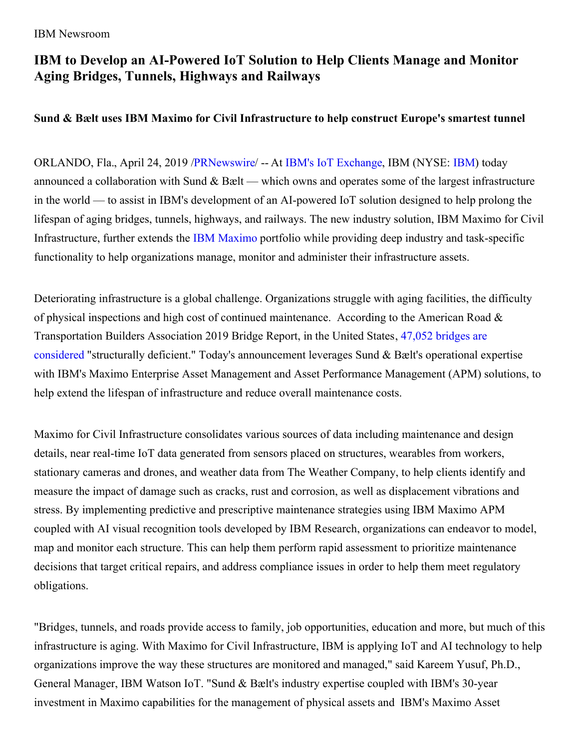#### IBM Newsroom

## **IBM to Develop an AI-Powered IoT Solution to Help Clients Manage and Monitor Aging Bridges, Tunnels, Highways and Railways**

### **Sund & Bælt uses IBM Maximo for Civil Infrastructure to help construct Europe's smartest tunnel**

ORLANDO, Fla., April 24, 2019 [/PRNewswire](http://www.prnewswire.com/)/ -- At IBM's IoT [Exchange](https://c212.net/c/link/?t=0&l=en&o=2444807-1&h=1866623764&u=https%3A%2F%2Fwww.ibm.com%2Finternet-of-things%2Fnews-views%2Fconference%2F&a=IBM%27s+IoT+Exchange), IBM (NYSE: [IBM](https://c212.net/c/link/?t=0&l=en&o=2444807-1&h=1955549813&u=http%3A%2F%2Fwww.ibm.com%2Finvestor&a=IBM)) today announced a collaboration with Sund  $&$  Bælt — which owns and operates some of the largest infrastructure in the world — to assist in IBM's development of an AI-powered IoT solution designed to help prolong the lifespan of aging bridges, tunnels, highways, and railways. The new industry solution, IBM Maximo for Civil Infrastructure, further extends the IBM [Maximo](https://c212.net/c/link/?t=0&l=en&o=2444807-1&h=2757306409&u=https%3A%2F%2Fwww.ibm.com%2Fblogs%2Finternet-of-things%2Fiot-ibm-leader-gartner-mq-eam-2018%2F&a=IBM+Maximo) portfolio while providing deep industry and task-specific functionality to help organizations manage, monitor and administer their infrastructure assets.

Deteriorating infrastructure is a global challenge. Organizations struggle with aging facilities, the difficulty of physical inspections and high cost of continued maintenance. According to the American Road & [Transportation](https://c212.net/c/link/?t=0&l=en&o=2444807-1&h=1995230183&u=https%3A%2F%2Fartbabridgereport.org%2Freports%2F2019-ARTBA-Bridge-Report.pdf&a=47%2C052+bridges+are+considered) Builders Association 2019 Bridge Report, in the United States, 47,052 bridges are considered "structurally deficient." Today's announcement leverages Sund & Bælt's operational expertise with IBM's Maximo Enterprise Asset Management and Asset Performance Management (APM) solutions, to help extend the lifespan of infrastructure and reduce overall maintenance costs.

Maximo for Civil Infrastructure consolidates various sources of data including maintenance and design details, near real-time IoT data generated from sensors placed on structures, wearables from workers, stationary cameras and drones, and weather data from The Weather Company, to help clients identify and measure the impact of damage such as cracks, rust and corrosion, as well as displacement vibrations and stress. By implementing predictive and prescriptive maintenance strategies using IBM Maximo APM coupled with AI visual recognition tools developed by IBM Research, organizations can endeavor to model, map and monitor each structure. This can help them perform rapid assessment to prioritize maintenance decisions that target critical repairs, and address compliance issues in order to help them meet regulatory obligations.

"Bridges, tunnels, and roads provide access to family, job opportunities, education and more, but much of this infrastructure is aging. With Maximo for Civil Infrastructure, IBM is applying IoT and AI technology to help organizations improve the way these structures are monitored and managed," said Kareem Yusuf, Ph.D., General Manager, IBM Watson IoT. "Sund & Bælt's industry expertise coupled with IBM's 30-year investment in Maximo capabilities for the management of physical assets and IBM's Maximo Asset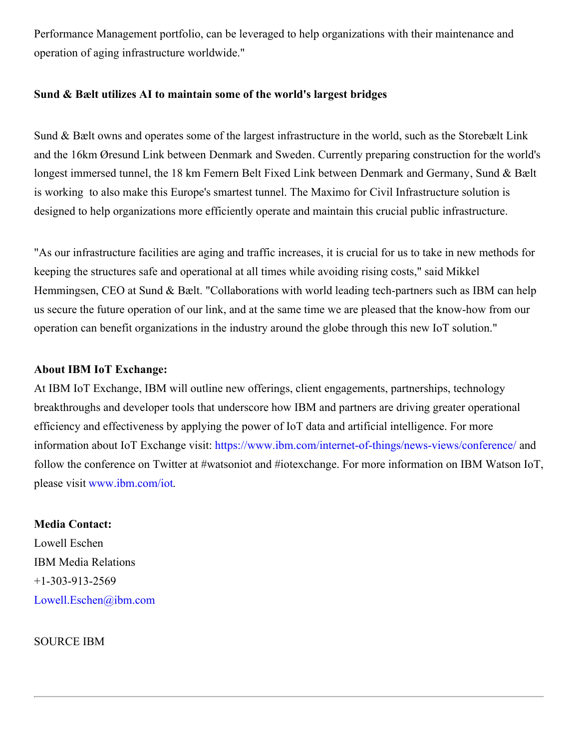Performance Management portfolio, can be leveraged to help organizations with their maintenance and operation of aging infrastructure worldwide."

#### **Sund & Bælt utilizes AI to maintain some of the world's largest bridges**

Sund & Bælt owns and operates some of the largest infrastructure in the world, such as the Storebælt Link and the 16km Øresund Link between Denmark and Sweden. Currently preparing construction for the world's longest immersed tunnel, the 18 km Femern Belt Fixed Link between Denmark and Germany, Sund & Bælt is working to also make this Europe's smartest tunnel. The Maximo for Civil Infrastructure solution is designed to help organizations more efficiently operate and maintain this crucial public infrastructure.

"As our infrastructure facilities are aging and traffic increases, it is crucial for us to take in new methods for keeping the structures safe and operational at all times while avoiding rising costs," said Mikkel Hemmingsen, CEO at Sund & Bælt. "Collaborations with world leading tech-partners such as IBM can help us secure the future operation of our link, and at the same time we are pleased that the know-how from our operation can benefit organizations in the industry around the globe through this new IoT solution."

#### **About IBM IoT Exchange:**

At IBM IoT Exchange, IBM will outline new offerings, client engagements, partnerships, technology breakthroughs and developer tools that underscore how IBM and partners are driving greater operational efficiency and effectiveness by applying the power of IoT data and artificial intelligence. For more information about IoT Exchange visit: [https://www.ibm.com/internet-of-things/news-views/conference/](https://c212.net/c/link/?t=0&l=en&o=2444807-1&h=517441892&u=https%3A%2F%2Fwww.ibm.com%2Finternet-of-things%2Fnews-views%2Fconference%2F&a=https%3A%2F%2Fwww.ibm.com%2Finternet-of-things%2Fnews-views%2Fconference%2F) and follow the conference on Twitter at #watsoniot and #iotexchange. For more information on IBM Watson IoT, please visit [www.ibm.com/iot](https://c212.net/c/link/?t=0&l=en&o=2444807-1&h=1649311314&u=http%3A%2F%2Fwww.ibm.com%2Fiot&a=www.ibm.com%2Fiot).

# **Media Contact:** Lowell Eschen

IBM Media Relations +1-303-913-2569 [Lowell.Eschen@ibm.com](mailto:Lowell.Eschen@ibm.com)

SOURCE IBM